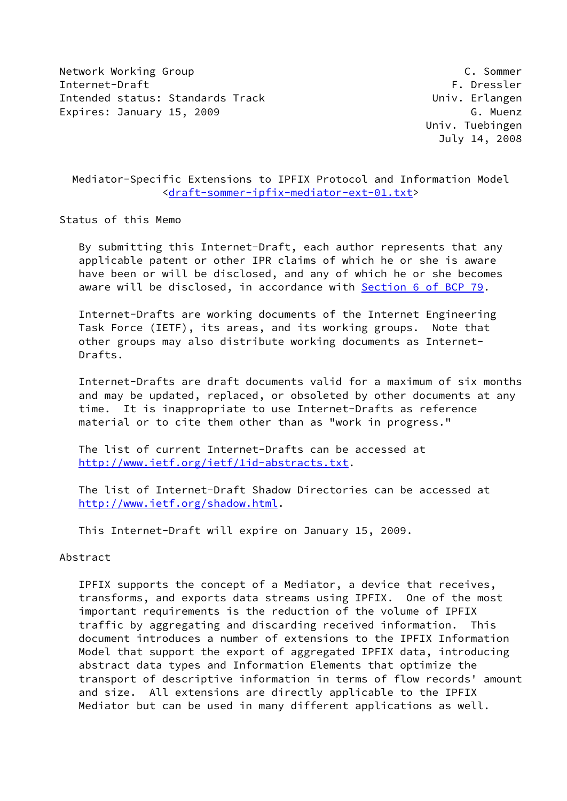Network Working Group C. Sommer Internet-Draft Formulation of the extension of the extension of the extension of the extension of the extension of the extension of the extension of the extension of the extension of the extension of the extension of the e Intended status: Standards Track Univ. Erlangen Expires: January 15, 2009 G. Muenz

 Univ. Tuebingen July 14, 2008

 Mediator-Specific Extensions to IPFIX Protocol and Information Model [<draft-sommer-ipfix-mediator-ext-01.txt](https://datatracker.ietf.org/doc/pdf/draft-sommer-ipfix-mediator-ext-01.txt)>

Status of this Memo

 By submitting this Internet-Draft, each author represents that any applicable patent or other IPR claims of which he or she is aware have been or will be disclosed, and any of which he or she becomes aware will be disclosed, in accordance with Section [6 of BCP 79.](https://datatracker.ietf.org/doc/pdf/bcp79#section-6)

 Internet-Drafts are working documents of the Internet Engineering Task Force (IETF), its areas, and its working groups. Note that other groups may also distribute working documents as Internet- Drafts.

 Internet-Drafts are draft documents valid for a maximum of six months and may be updated, replaced, or obsoleted by other documents at any time. It is inappropriate to use Internet-Drafts as reference material or to cite them other than as "work in progress."

 The list of current Internet-Drafts can be accessed at <http://www.ietf.org/ietf/1id-abstracts.txt>.

 The list of Internet-Draft Shadow Directories can be accessed at <http://www.ietf.org/shadow.html>.

This Internet-Draft will expire on January 15, 2009.

#### Abstract

 IPFIX supports the concept of a Mediator, a device that receives, transforms, and exports data streams using IPFIX. One of the most important requirements is the reduction of the volume of IPFIX traffic by aggregating and discarding received information. This document introduces a number of extensions to the IPFIX Information Model that support the export of aggregated IPFIX data, introducing abstract data types and Information Elements that optimize the transport of descriptive information in terms of flow records' amount and size. All extensions are directly applicable to the IPFIX Mediator but can be used in many different applications as well.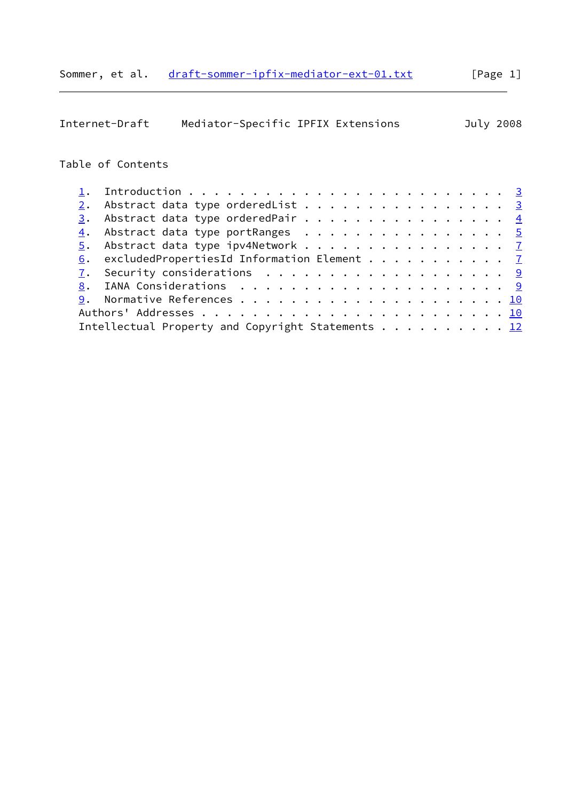|                  | Mediator-Specific IPFIX Extensions<br>Internet-Draft   |  |  |  |  |  | July 2008 |
|------------------|--------------------------------------------------------|--|--|--|--|--|-----------|
|                  | Table of Contents                                      |  |  |  |  |  |           |
| 1.               |                                                        |  |  |  |  |  |           |
| 2.               | Abstract data type orderedList 3                       |  |  |  |  |  |           |
| $\overline{3}$ . | Abstract data type orderedPair $\frac{4}{5}$           |  |  |  |  |  |           |
| 4.               | Abstract data type portRanges 5                        |  |  |  |  |  |           |
| 5.               | Abstract data type ipv4Network 7                       |  |  |  |  |  |           |
| 6.               | excludedPropertiesId Information Element $\frac{7}{2}$ |  |  |  |  |  |           |
| 7.               | Security considerations $\cdots$ 9                     |  |  |  |  |  |           |
| 8.               |                                                        |  |  |  |  |  |           |
| 9.               |                                                        |  |  |  |  |  |           |
|                  |                                                        |  |  |  |  |  |           |
|                  | Intellectual Property and Copyright Statements 12      |  |  |  |  |  |           |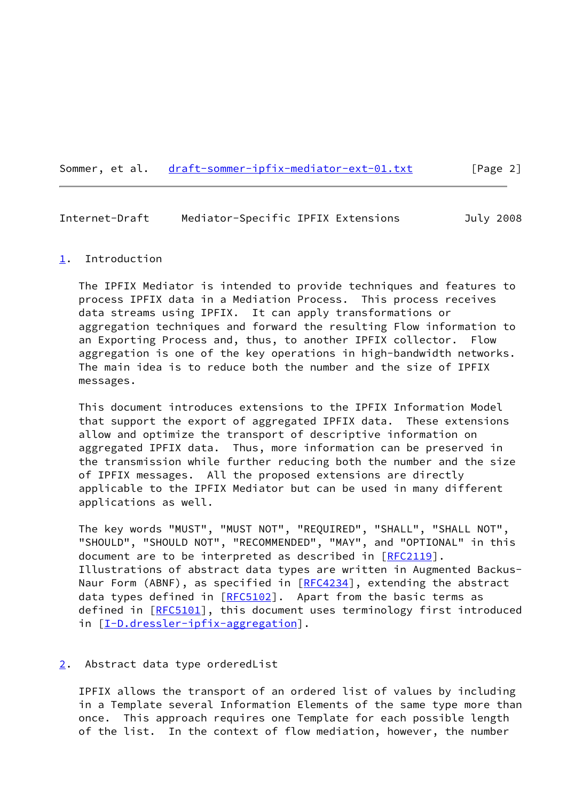## Sommer, et al. [draft-sommer-ipfix-mediator-ext-01.txt](https://datatracker.ietf.org/doc/pdf/draft-sommer-ipfix-mediator-ext-01.txt) [Page 2]

## <span id="page-2-1"></span>Internet-Draft Mediator-Specific IPFIX Extensions July 2008

#### <span id="page-2-0"></span>[1](#page-2-0). Introduction

 The IPFIX Mediator is intended to provide techniques and features to process IPFIX data in a Mediation Process. This process receives data streams using IPFIX. It can apply transformations or aggregation techniques and forward the resulting Flow information to an Exporting Process and, thus, to another IPFIX collector. Flow aggregation is one of the key operations in high-bandwidth networks. The main idea is to reduce both the number and the size of IPFIX messages.

 This document introduces extensions to the IPFIX Information Model that support the export of aggregated IPFIX data. These extensions allow and optimize the transport of descriptive information on aggregated IPFIX data. Thus, more information can be preserved in the transmission while further reducing both the number and the size of IPFIX messages. All the proposed extensions are directly applicable to the IPFIX Mediator but can be used in many different applications as well.

 The key words "MUST", "MUST NOT", "REQUIRED", "SHALL", "SHALL NOT", "SHOULD", "SHOULD NOT", "RECOMMENDED", "MAY", and "OPTIONAL" in this document are to be interpreted as described in [\[RFC2119](https://datatracker.ietf.org/doc/pdf/rfc2119)]. Illustrations of abstract data types are written in Augmented Backus- Naur Form (ABNF), as specified in [[RFC4234](https://datatracker.ietf.org/doc/pdf/rfc4234)], extending the abstract data types defined in  $[REC5102]$ . Apart from the basic terms as defined in [[RFC5101\]](https://datatracker.ietf.org/doc/pdf/rfc5101), this document uses terminology first introduced in [[I-D.dressler-ipfix-aggregation](#page-10-2)].

## <span id="page-2-2"></span>[2](#page-2-2). Abstract data type orderedList

 IPFIX allows the transport of an ordered list of values by including in a Template several Information Elements of the same type more than once. This approach requires one Template for each possible length of the list. In the context of flow mediation, however, the number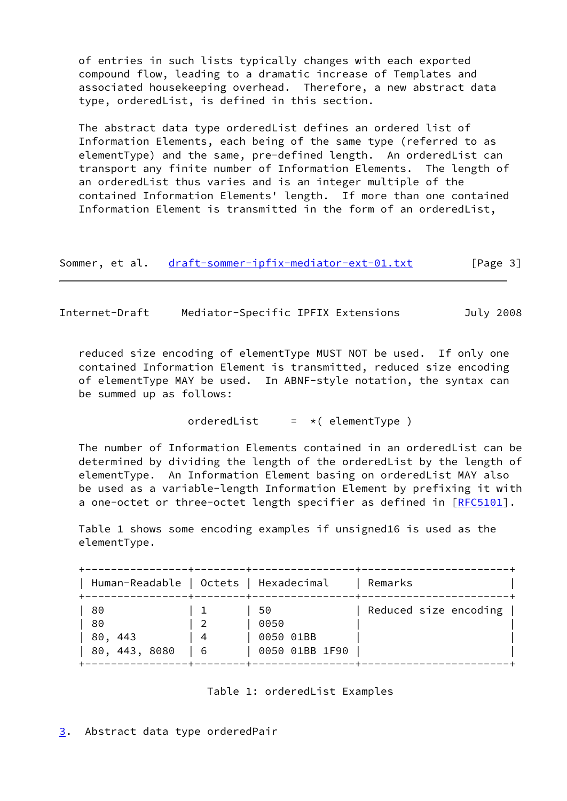of entries in such lists typically changes with each exported compound flow, leading to a dramatic increase of Templates and associated housekeeping overhead. Therefore, a new abstract data type, orderedList, is defined in this section.

 The abstract data type orderedList defines an ordered list of Information Elements, each being of the same type (referred to as elementType) and the same, pre-defined length. An orderedList can transport any finite number of Information Elements. The length of an orderedList thus varies and is an integer multiple of the contained Information Elements' length. If more than one contained Information Element is transmitted in the form of an orderedList,

Sommer, et al. [draft-sommer-ipfix-mediator-ext-01.txt](https://datatracker.ietf.org/doc/pdf/draft-sommer-ipfix-mediator-ext-01.txt) [Page 3]

<span id="page-3-1"></span>Internet-Draft Mediator-Specific IPFIX Extensions July 2008

 reduced size encoding of elementType MUST NOT be used. If only one contained Information Element is transmitted, reduced size encoding of elementType MAY be used. In ABNF-style notation, the syntax can be summed up as follows:

orderedList  $= *$ ( elementType )

 The number of Information Elements contained in an orderedList can be determined by dividing the length of the orderedList by the length of elementType. An Information Element basing on orderedList MAY also be used as a variable-length Information Element by prefixing it with a one-octet or three-octet length specifier as defined in [[RFC5101](https://datatracker.ietf.org/doc/pdf/rfc5101)].

 Table 1 shows some encoding examples if unsigned16 is used as the elementType.

| Human-Readable   Octets   Hexadecimal   | -+--------+----- |                                           | Remarks               |
|-----------------------------------------|------------------|-------------------------------------------|-----------------------|
| 80<br>80<br>80,<br>443<br>80, 443, 8080 | -4<br>-6         | 50<br>0050<br>0050 01BB<br>0050 01BB 1F90 | Reduced size encoding |



<span id="page-3-0"></span>[3](#page-3-0). Abstract data type orderedPair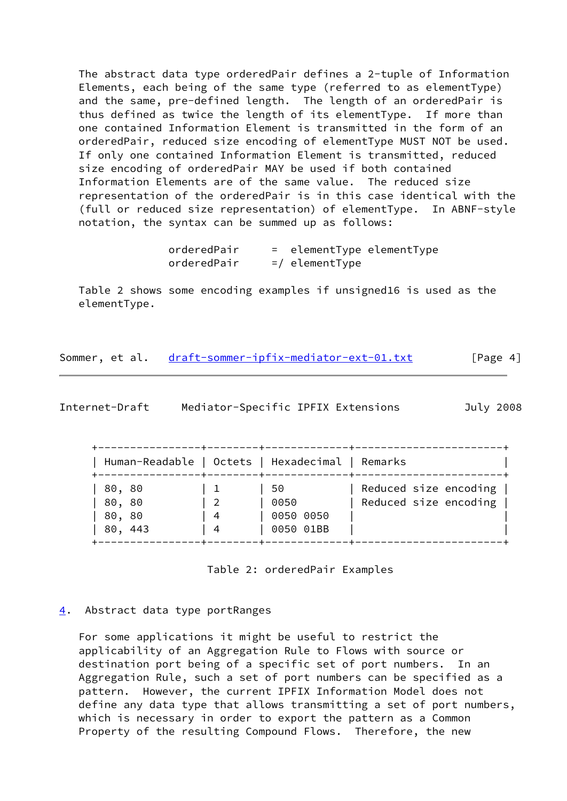The abstract data type orderedPair defines a 2-tuple of Information Elements, each being of the same type (referred to as elementType) and the same, pre-defined length. The length of an orderedPair is thus defined as twice the length of its elementType. If more than one contained Information Element is transmitted in the form of an orderedPair, reduced size encoding of elementType MUST NOT be used. If only one contained Information Element is transmitted, reduced size encoding of orderedPair MAY be used if both contained Information Elements are of the same value. The reduced size representation of the orderedPair is in this case identical with the (full or reduced size representation) of elementType. In ABNF-style notation, the syntax can be summed up as follows:

> orderedPair = elementType elementType  $orderedPair$  =/ elementType

 Table 2 shows some encoding examples if unsigned16 is used as the elementType.

| Sommer, et al. | draft-sommer-ipfix-mediator-ext-01.txt | [Page 4] |
|----------------|----------------------------------------|----------|
|                |                                        |          |

<span id="page-4-1"></span>

| Internet-Draft | Mediator-Specific IPFIX Extensions |  | July 2008 |
|----------------|------------------------------------|--|-----------|
|----------------|------------------------------------|--|-----------|

| Human-Readable   Octets   Hexadecimal   Remarks |         |                                       |                                                |
|-------------------------------------------------|---------|---------------------------------------|------------------------------------------------|
| 80, 80<br>80, 80<br>80, 80<br>80, 443           | -4<br>4 | 50.<br>0050<br>0050 0050<br>0050 01BB | Reduced size encoding<br>Reduced size encoding |

Table 2: orderedPair Examples

## <span id="page-4-0"></span>[4](#page-4-0). Abstract data type portRanges

 For some applications it might be useful to restrict the applicability of an Aggregation Rule to Flows with source or destination port being of a specific set of port numbers. In an Aggregation Rule, such a set of port numbers can be specified as a pattern. However, the current IPFIX Information Model does not define any data type that allows transmitting a set of port numbers, which is necessary in order to export the pattern as a Common Property of the resulting Compound Flows. Therefore, the new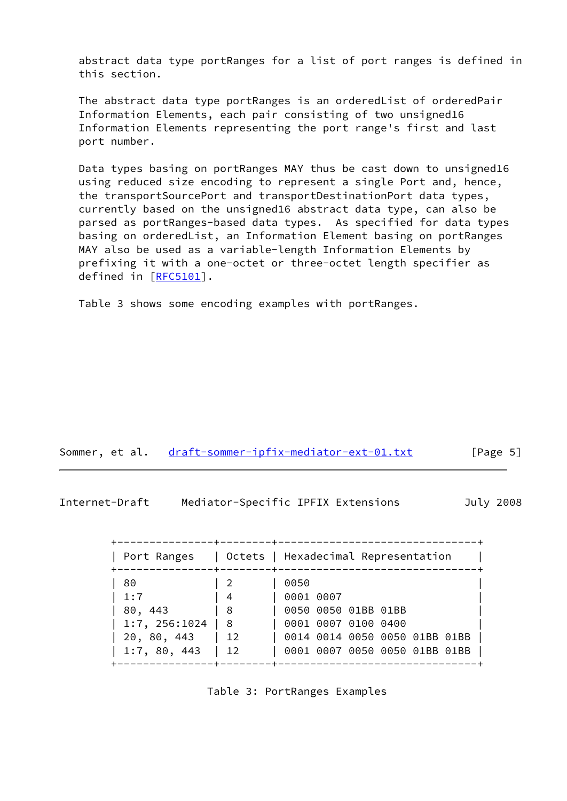abstract data type portRanges for a list of port ranges is defined in this section.

 The abstract data type portRanges is an orderedList of orderedPair Information Elements, each pair consisting of two unsigned16 Information Elements representing the port range's first and last port number.

 Data types basing on portRanges MAY thus be cast down to unsigned16 using reduced size encoding to represent a single Port and, hence, the transportSourcePort and transportDestinationPort data types, currently based on the unsigned16 abstract data type, can also be parsed as portRanges-based data types. As specified for data types basing on orderedList, an Information Element basing on portRanges MAY also be used as a variable-length Information Elements by prefixing it with a one-octet or three-octet length specifier as defined in [[RFC5101\]](https://datatracker.ietf.org/doc/pdf/rfc5101).

Table 3 shows some encoding examples with portRanges.

| Sommer, et al. | draft-sommer-ipfix-mediator-ext-01.txt | [Page 5] |
|----------------|----------------------------------------|----------|
|----------------|----------------------------------------|----------|

Internet-Draft Mediator-Specific IPFIX Extensions July 2008

| Port Ranges                  |           | Octets   Hexadecimal Representation                  |
|------------------------------|-----------|------------------------------------------------------|
| 80                           |           | 0050                                                 |
| 1:7<br>80, 443               | 4<br>- 8  | 0001 0007<br>0050 0050 01BB 01BB                     |
| 1:7, 256:1024<br>20, 80, 443 | - 8<br>12 | 0001 0007 0100 0400<br>0014 0014 0050 0050 01BB 01BB |
| 1:7, 80, 443                 | 12        | 0001 0007 0050 0050 01BB 01BB                        |

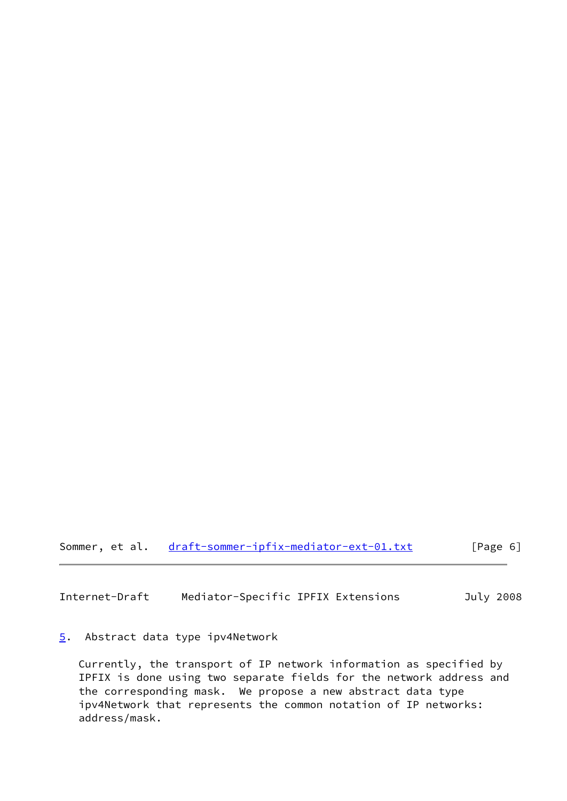Sommer, et al. [draft-sommer-ipfix-mediator-ext-01.txt](https://datatracker.ietf.org/doc/pdf/draft-sommer-ipfix-mediator-ext-01.txt) [Page 6]

<span id="page-6-1"></span>Internet-Draft Mediator-Specific IPFIX Extensions July 2008

# <span id="page-6-0"></span>[5](#page-6-0). Abstract data type ipv4Network

 Currently, the transport of IP network information as specified by IPFIX is done using two separate fields for the network address and the corresponding mask. We propose a new abstract data type ipv4Network that represents the common notation of IP networks: address/mask.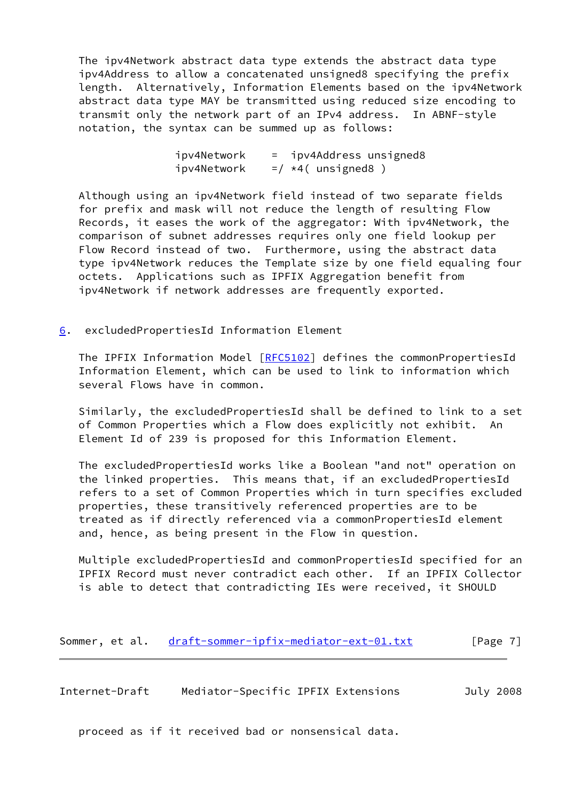The ipv4Network abstract data type extends the abstract data type ipv4Address to allow a concatenated unsigned8 specifying the prefix length. Alternatively, Information Elements based on the ipv4Network abstract data type MAY be transmitted using reduced size encoding to transmit only the network part of an IPv4 address. In ABNF-style notation, the syntax can be summed up as follows:

> ipv4Network = ipv4Address unsigned8  $ipv4Network = / *4$  (unsigned8)

 Although using an ipv4Network field instead of two separate fields for prefix and mask will not reduce the length of resulting Flow Records, it eases the work of the aggregator: With ipv4Network, the comparison of subnet addresses requires only one field lookup per Flow Record instead of two. Furthermore, using the abstract data type ipv4Network reduces the Template size by one field equaling four octets. Applications such as IPFIX Aggregation benefit from ipv4Network if network addresses are frequently exported.

<span id="page-7-0"></span>[6](#page-7-0). excludedPropertiesId Information Element

The IPFIX Information Model [\[RFC5102](https://datatracker.ietf.org/doc/pdf/rfc5102)] defines the commonPropertiesId Information Element, which can be used to link to information which several Flows have in common.

 Similarly, the excludedPropertiesId shall be defined to link to a set of Common Properties which a Flow does explicitly not exhibit. An Element Id of 239 is proposed for this Information Element.

 The excludedPropertiesId works like a Boolean "and not" operation on the linked properties. This means that, if an excludedPropertiesId refers to a set of Common Properties which in turn specifies excluded properties, these transitively referenced properties are to be treated as if directly referenced via a commonPropertiesId element and, hence, as being present in the Flow in question.

 Multiple excludedPropertiesId and commonPropertiesId specified for an IPFIX Record must never contradict each other. If an IPFIX Collector is able to detect that contradicting IEs were received, it SHOULD

Sommer, et al. [draft-sommer-ipfix-mediator-ext-01.txt](https://datatracker.ietf.org/doc/pdf/draft-sommer-ipfix-mediator-ext-01.txt) [Page 7]

Internet-Draft Mediator-Specific IPFIX Extensions July 2008

proceed as if it received bad or nonsensical data.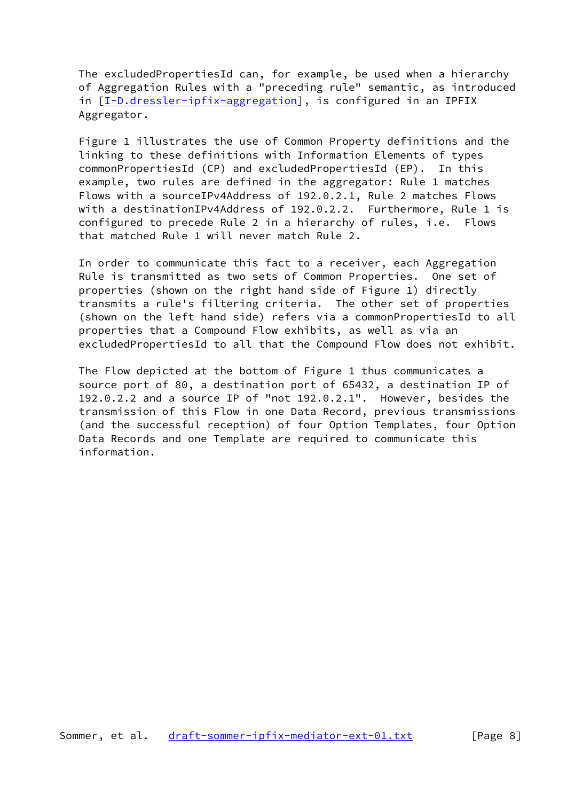The excludedPropertiesId can, for example, be used when a hierarchy of Aggregation Rules with a "preceding rule" semantic, as introduced in [[I-D.dressler-ipfix-aggregation](#page-10-2)], is configured in an IPFIX Aggregator.

 Figure 1 illustrates the use of Common Property definitions and the linking to these definitions with Information Elements of types commonPropertiesId (CP) and excludedPropertiesId (EP). In this example, two rules are defined in the aggregator: Rule 1 matches Flows with a sourceIPv4Address of 192.0.2.1, Rule 2 matches Flows with a destinationIPv4Address of 192.0.2.2. Furthermore, Rule 1 is configured to precede Rule 2 in a hierarchy of rules, i.e. Flows that matched Rule 1 will never match Rule 2.

 In order to communicate this fact to a receiver, each Aggregation Rule is transmitted as two sets of Common Properties. One set of properties (shown on the right hand side of Figure 1) directly transmits a rule's filtering criteria. The other set of properties (shown on the left hand side) refers via a commonPropertiesId to all properties that a Compound Flow exhibits, as well as via an excludedPropertiesId to all that the Compound Flow does not exhibit.

 The Flow depicted at the bottom of Figure 1 thus communicates a source port of 80, a destination port of 65432, a destination IP of 192.0.2.2 and a source IP of "not 192.0.2.1". However, besides the transmission of this Flow in one Data Record, previous transmissions (and the successful reception) of four Option Templates, four Option Data Records and one Template are required to communicate this information.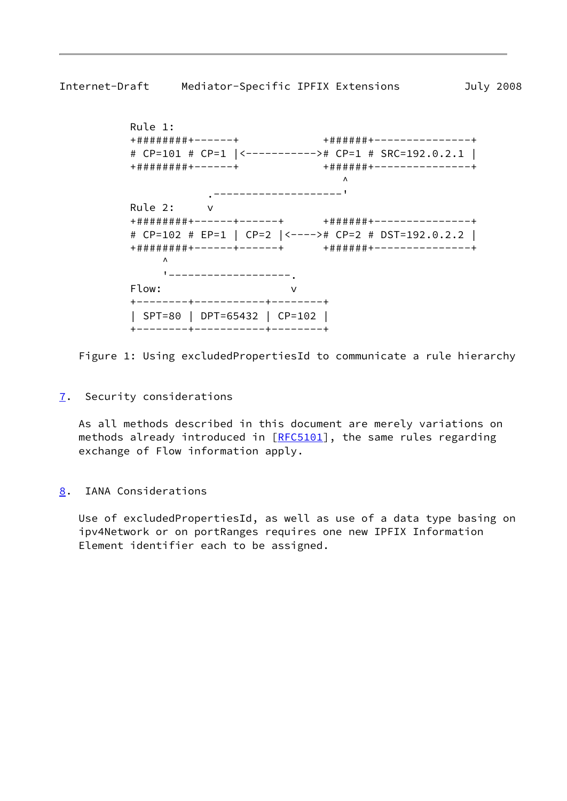```
 Rule 1:
          +########+------+ +######+---------------+
          # CP=101 # CP=1 |<-----------># CP=1 # SRC=192.0.2.1 |
          +########+------+ +######+---------------+
\mathcal{N} .--------------------'
          Rule 2: v
          +########+------+------+ +######+---------------+
          # CP=102 # EP=1 | CP=2 |<----># CP=2 # DST=192.0.2.2 |
          +########+------+------+ +######+---------------+
\mathcal{L} '-------------------.
          Flow: v
          +--------+-----------+--------+
          | SPT=80 | DPT=65432 | CP=102 |
          +--------+-----------+--------+
```
Figure 1: Using excludedPropertiesId to communicate a rule hierarchy

<span id="page-9-0"></span>[7](#page-9-0). Security considerations

 As all methods described in this document are merely variations on methods already introduced in [[RFC5101](https://datatracker.ietf.org/doc/pdf/rfc5101)], the same rules regarding exchange of Flow information apply.

<span id="page-9-2"></span>[8](#page-9-2). IANA Considerations

 Use of excludedPropertiesId, as well as use of a data type basing on ipv4Network or on portRanges requires one new IPFIX Information Element identifier each to be assigned.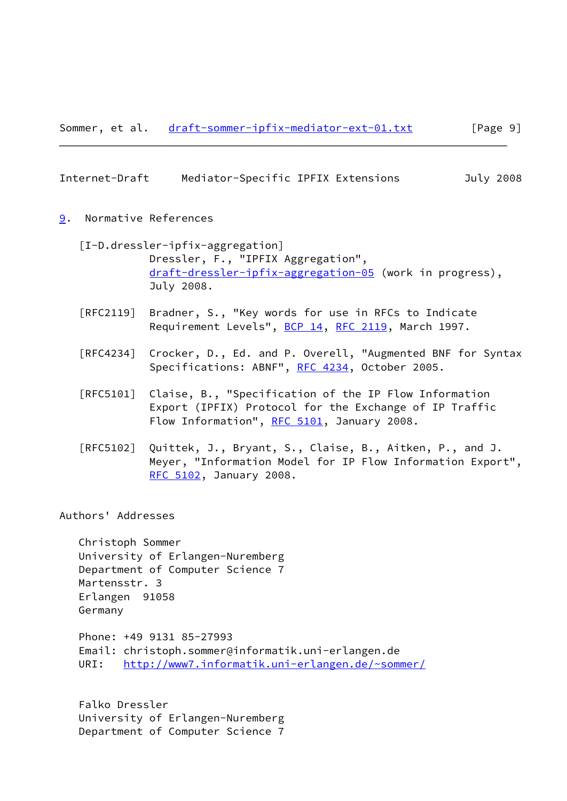#### <span id="page-10-1"></span>Internet-Draft Mediator-Specific IPFIX Extensions July 2008

## <span id="page-10-0"></span>[9](#page-10-0). Normative References

- <span id="page-10-2"></span> [I-D.dressler-ipfix-aggregation] Dressler, F., "IPFIX Aggregation", [draft-dressler-ipfix-aggregation-05](https://datatracker.ietf.org/doc/pdf/draft-dressler-ipfix-aggregation-05) (work in progress), July 2008.
- [RFC2119] Bradner, S., "Key words for use in RFCs to Indicate Requirement Levels", [BCP 14](https://datatracker.ietf.org/doc/pdf/bcp14), [RFC 2119](https://datatracker.ietf.org/doc/pdf/rfc2119), March 1997.
- [RFC4234] Crocker, D., Ed. and P. Overell, "Augmented BNF for Syntax Specifications: ABNF", [RFC 4234](https://datatracker.ietf.org/doc/pdf/rfc4234), October 2005.
- [RFC5101] Claise, B., "Specification of the IP Flow Information Export (IPFIX) Protocol for the Exchange of IP Traffic Flow Information", [RFC 5101](https://datatracker.ietf.org/doc/pdf/rfc5101), January 2008.
- [RFC5102] Quittek, J., Bryant, S., Claise, B., Aitken, P., and J. Meyer, "Information Model for IP Flow Information Export", [RFC 5102,](https://datatracker.ietf.org/doc/pdf/rfc5102) January 2008.

#### Authors' Addresses

 Christoph Sommer University of Erlangen-Nuremberg Department of Computer Science 7 Martensstr. 3 Erlangen 91058 Germany

 Phone: +49 9131 85-27993 Email: christoph.sommer@informatik.uni-erlangen.de URI: <http://www7.informatik.uni-erlangen.de/~sommer/>

 Falko Dressler University of Erlangen-Nuremberg Department of Computer Science 7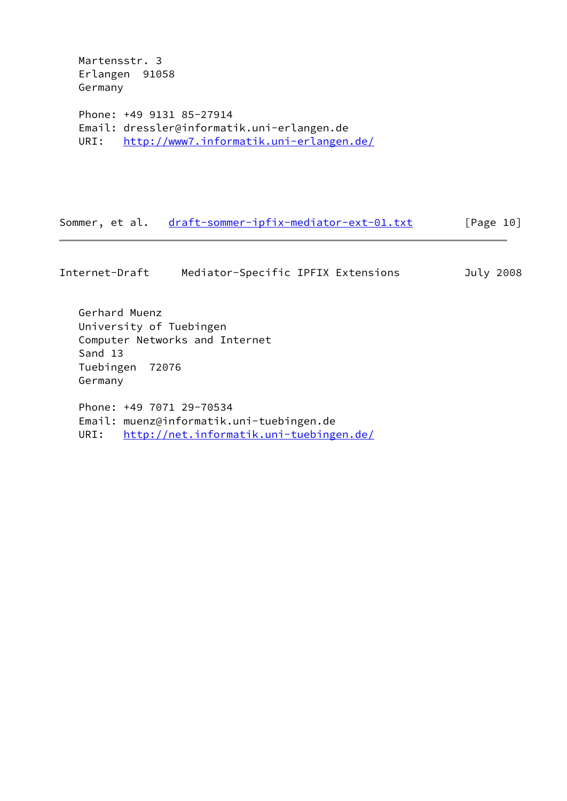Martensstr. 3 Erlangen 91058 Germany

Germany

 Phone: +49 9131 85-27914 Email: dressler@informatik.uni-erlangen.de URI: <http://www7.informatik.uni-erlangen.de/>

Sommer, et al. [draft-sommer-ipfix-mediator-ext-01.txt](https://datatracker.ietf.org/doc/pdf/draft-sommer-ipfix-mediator-ext-01.txt) [Page 10]

Internet-Draft Mediator-Specific IPFIX Extensions July 2008 Gerhard Muenz University of Tuebingen Computer Networks and Internet Sand 13 Tuebingen 72076

 Phone: +49 7071 29-70534 Email: muenz@informatik.uni-tuebingen.de URI: <http://net.informatik.uni-tuebingen.de/>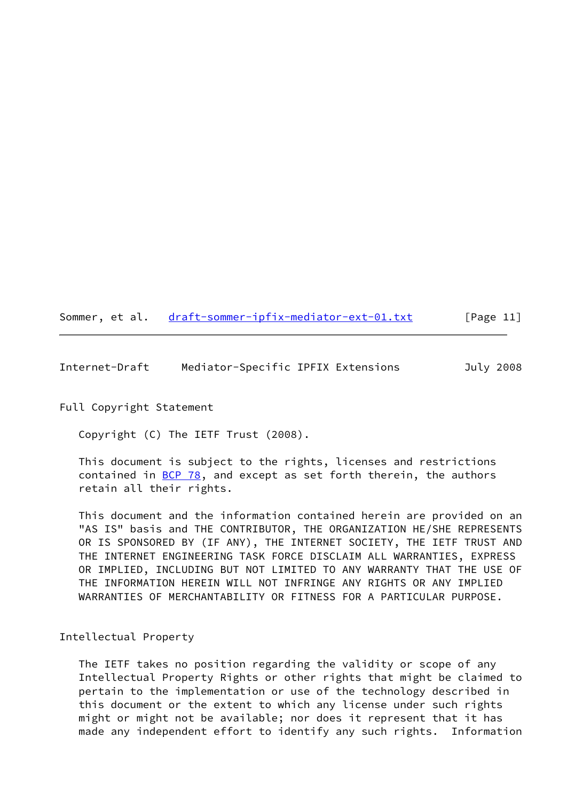# Sommer, et al. [draft-sommer-ipfix-mediator-ext-01.txt](https://datatracker.ietf.org/doc/pdf/draft-sommer-ipfix-mediator-ext-01.txt) [Page 11]

<span id="page-12-0"></span>Internet-Draft Mediator-Specific IPFIX Extensions July 2008

# Full Copyright Statement

Copyright (C) The IETF Trust (2008).

 This document is subject to the rights, licenses and restrictions contained in  $\underline{BCP}$  78, and except as set forth therein, the authors retain all their rights.

 This document and the information contained herein are provided on an "AS IS" basis and THE CONTRIBUTOR, THE ORGANIZATION HE/SHE REPRESENTS OR IS SPONSORED BY (IF ANY), THE INTERNET SOCIETY, THE IETF TRUST AND THE INTERNET ENGINEERING TASK FORCE DISCLAIM ALL WARRANTIES, EXPRESS OR IMPLIED, INCLUDING BUT NOT LIMITED TO ANY WARRANTY THAT THE USE OF THE INFORMATION HEREIN WILL NOT INFRINGE ANY RIGHTS OR ANY IMPLIED WARRANTIES OF MERCHANTABILITY OR FITNESS FOR A PARTICULAR PURPOSE.

# Intellectual Property

 The IETF takes no position regarding the validity or scope of any Intellectual Property Rights or other rights that might be claimed to pertain to the implementation or use of the technology described in this document or the extent to which any license under such rights might or might not be available; nor does it represent that it has made any independent effort to identify any such rights. Information